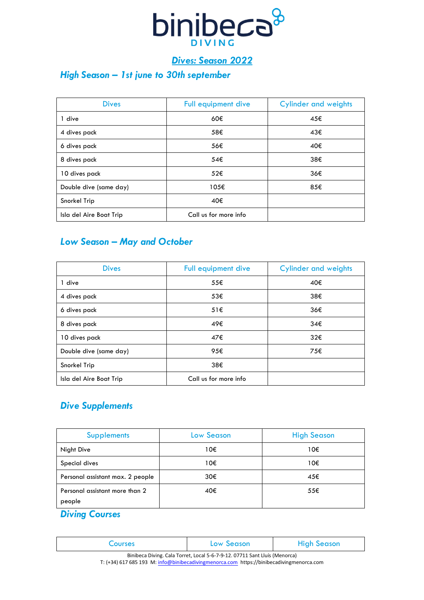

## *Dives: Season 2022*

### *High Season – 1st june to 30th september*

| <b>Dives</b>            | <b>Full equipment dive</b> | <b>Cylinder and weights</b> |
|-------------------------|----------------------------|-----------------------------|
| 1 dive                  | 60€                        | 45€                         |
| 4 dives pack            | 58€                        | 43€                         |
| 6 dives pack            | 56€                        | 40€                         |
| 8 dives pack            | 54€                        | 38€                         |
| 10 dives pack           | 52€                        | 36€                         |
| Double dive (same day)  | 105€                       | 85€                         |
| Snorkel Trip            | 40€                        |                             |
| Isla del Aire Boat Trip | Call us for more info      |                             |

#### *Low Season – May and October*

| <b>Dives</b>            | Full equipment dive   | <b>Cylinder and weights</b> |
|-------------------------|-----------------------|-----------------------------|
| dive                    | 55€                   | 40€                         |
| 4 dives pack            | 53€                   | 38€                         |
| 6 dives pack            | 51E                   | 36€                         |
| 8 dives pack            | 49€                   | 34€                         |
| 10 dives pack           | 47€                   | 32€                         |
| Double dive (same day)  | 95€                   | 75€                         |
| Snorkel Trip            | 38€                   |                             |
| Isla del Aire Boat Trip | Call us for more info |                             |

### *Dive Supplements*

| <b>Supplements</b>                       | <b>Low Season</b> | <b>High Season</b> |
|------------------------------------------|-------------------|--------------------|
| <b>Night Dive</b>                        | 10€               | 10€                |
| Special dives                            | 10€               | 10€                |
| Personal assistant max. 2 people         | 30€               | 45€                |
| Personal assistant more than 2<br>people | 40€               | 55€                |

## *Diving Courses*

| <b>LOUISES</b> | Low Season | <b>High Season</b> |
|----------------|------------|--------------------|
| ---            |            |                    |

Binibeca Diving. Cala Torret, Local 5-6-7-9-12. 07711 Sant Lluís (Menorca) T: (+34) 617 685 193 M: [info@binibecadivingmenorca.com](mailto:info@binibecadivingmenorca.com) https://binibecadivingmenorca.com